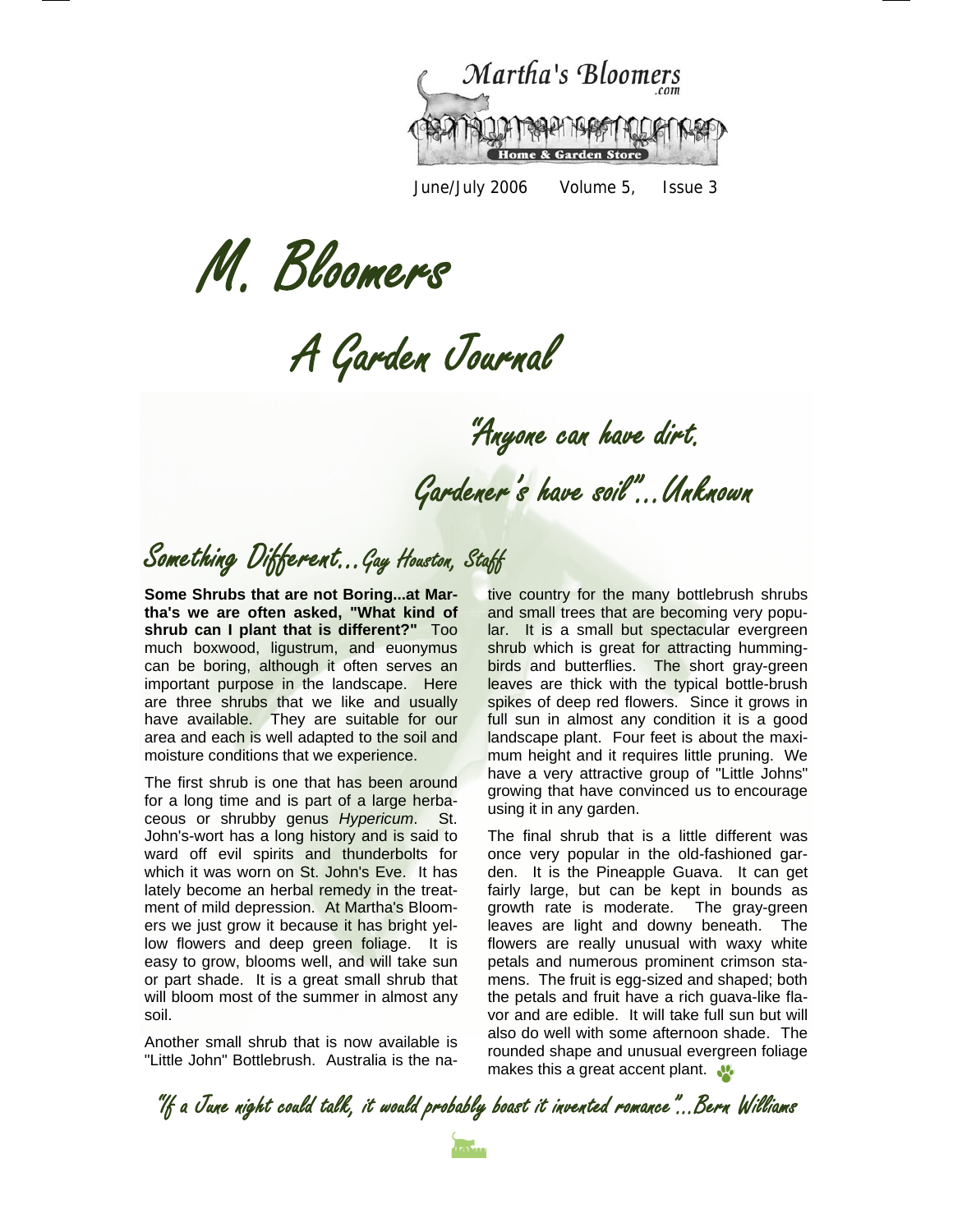

June/July 2006 Volume 5, Issue 3

M. Bloomers

A Garden Journal

"Anyone can have dirt.

Gardener's have soil"...Unknown

## Something Different...Gay Houston, Staff

**Some Shrubs that are not Boring...at Martha's we are often asked, "What kind of shrub can I plant that is different?"** Too much boxwood, ligustrum, and euonymus can be boring, although it often serves an important purpose in the landscape. Here are three shrubs that we like and usually have available. They are suitable for our area and each is well adapted to the soil and moisture conditions that we experience.

The first shrub is one that has been around for a long time and is part of a large herbaceous or shrubby genus *Hypericum*. St. John's-wort has a long history and is said to ward off evil spirits and thunderbolts for which it was worn on St. John's Eve. It has lately become an herbal remedy in the treatment of mild depression. At Martha's Bloomers we just grow it because it has bright yellow flowers and deep green foliage. It is easy to grow, blooms well, and will take sun or part shade. It is a great small shrub that will bloom most of the summer in almost any soil.

Another small shrub that is now available is "Little John" Bottlebrush. Australia is the native country for the many bottlebrush shrubs and small trees that are becoming very popular. It is a small but spectacular evergreen shrub which is great for attracting hummingbirds and butterflies. The short gray-green leaves are thick with the typical bottle-brush spikes of deep red flowers. Since it grows in full sun in almost any condition it is a good landscape plant. Four feet is about the maximum height and it requires little pruning. We have a very attractive group of "Little Johns" growing that have convinced us to encourage using it in any garden.

The final shrub that is a little different was once very popular in the old-fashioned garden. It is the Pineapple Guava. It can get fairly large, but can be kept in bounds as growth rate is moderate. The gray-green leaves are light and downy beneath. The flowers are really unusual with waxy white petals and numerous prominent crimson stamens. The fruit is egg-sized and shaped; both the petals and fruit have a rich guava-like flavor and are edible. It will take full sun but will also do well with some afternoon shade. The rounded shape and unusual evergreen foliage makes this a great accent plant.

"If a June night could talk, it would probably boast it invented romance"...Bern Williams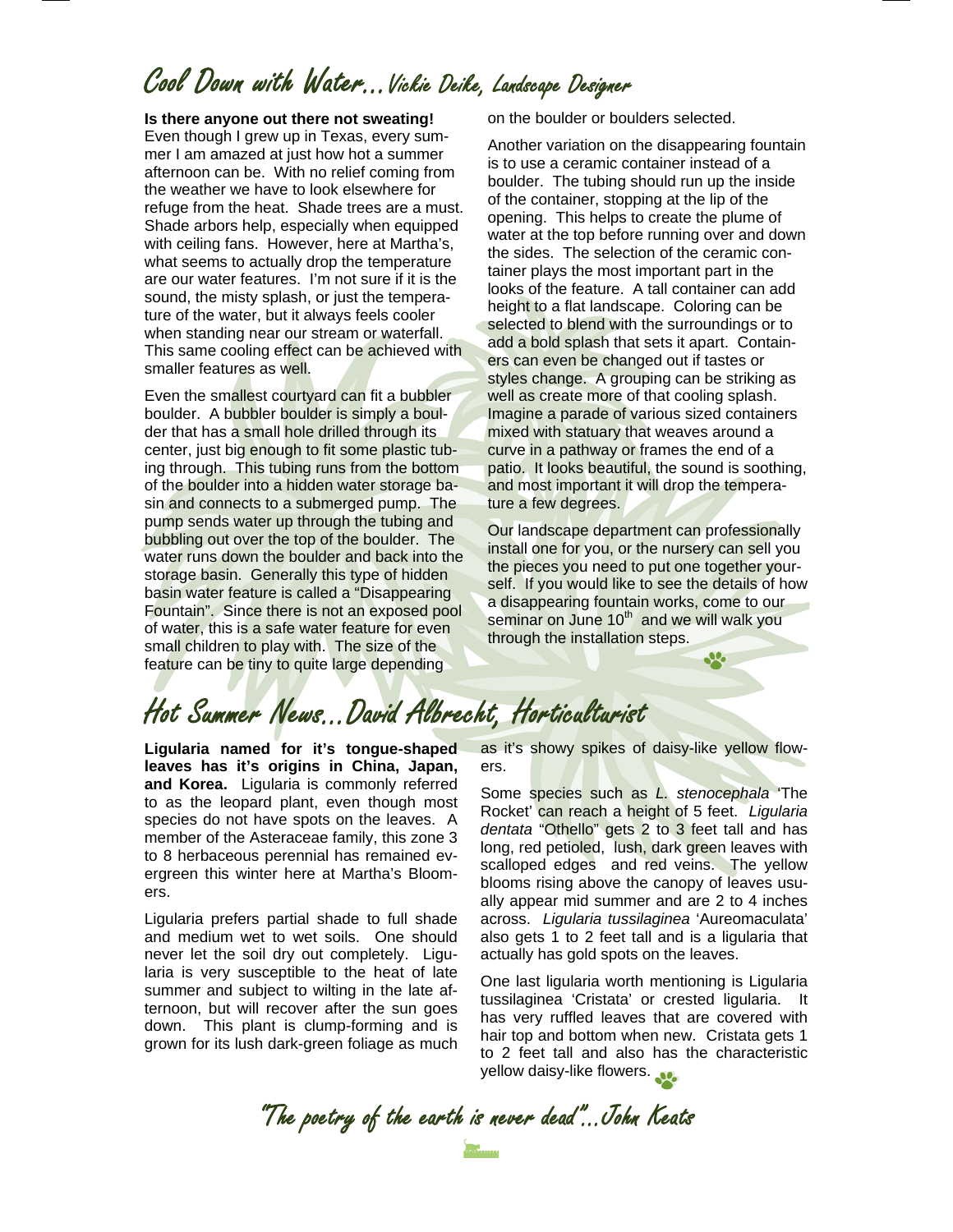### Cool Down with Water…Vickie Deike, Landscape Designer

#### **Is there anyone out there not sweating!**

Even though I grew up in Texas, every summer I am amazed at just how hot a summer afternoon can be. With no relief coming from the weather we have to look elsewhere for refuge from the heat. Shade trees are a must. Shade arbors help, especially when equipped with ceiling fans. However, here at Martha's, what seems to actually drop the temperature are our water features. I'm not sure if it is the sound, the misty splash, or just the temperature of the water, but it always feels cooler when standing near our stream or waterfall. This same cooling effect can be achieved with smaller features as well.

Even the smallest courtyard can fit a bubbler boulder. A bubbler boulder is simply a boulder that has a small hole drilled through its center, just big enough to fit some plastic tubing through. This tubing runs from the bottom of the boulder into a hidden water storage basin and connects to a submerged pump. The pump sends water up through the tubing and bubbling out over the top of the boulder. The water runs down the boulder and back into the storage basin. Generally this type of hidden basin water feature is called a "Disappearing Fountain". Since there is not an exposed pool of water, this is a safe water feature for even small children to play with. The size of the feature can be tiny to quite large depending

on the boulder or boulders selected.

Another variation on the disappearing fountain is to use a ceramic container instead of a boulder. The tubing should run up the inside of the container, stopping at the lip of the opening. This helps to create the plume of water at the top before running over and down the sides. The selection of the ceramic container plays the most important part in the looks of the feature. A tall container can add height to a flat landscape. Coloring can be selected to blend with the surroundings or to add a bold splash that sets it apart. Containers can even be changed out if tastes or styles change. A grouping can be striking as well as create more of that cooling splash. Imagine a parade of various sized containers mixed with statuary that weaves around a curve in a pathway or frames the end of a patio. It looks beautiful, the sound is soothing, and most important it will drop the temperature a few degrees.

Our landscape department can professionally install one for you, or the nursery can sell you the pieces you need to put one together yourself. If you would like to see the details of how a disappearing fountain works, come to our seminar on June 10<sup>th</sup> and we will walk you through the installation steps.

Jo.

# Hot Summer News...David Albrecht, Horticulturist

**Ligularia named for it's tongue-shaped leaves has it's origins in China, Japan, and Korea.** Ligularia is commonly referred to as the leopard plant, even though most species do not have spots on the leaves. A member of the Asteraceae family, this zone 3 to 8 herbaceous perennial has remained evergreen this winter here at Martha's Bloomers.

Ligularia prefers partial shade to full shade and medium wet to wet soils. One should never let the soil dry out completely. Ligularia is very susceptible to the heat of late summer and subject to wilting in the late afternoon, but will recover after the sun goes down. This plant is clump-forming and is grown for its lush dark-green foliage as much

as it's showy spikes of daisy-like yellow flowers.

Some species such as *L. stenocephala* 'The Rocket' can reach a height of 5 feet. *Ligularia dentata* "Othello" gets 2 to 3 feet tall and has long, red petioled, lush, dark green leaves with scalloped edges and red veins. The yellow blooms rising above the canopy of leaves usually appear mid summer and are 2 to 4 inches across. *Ligularia tussilaginea* 'Aureomaculata' also gets 1 to 2 feet tall and is a ligularia that actually has gold spots on the leaves.

One last ligularia worth mentioning is Ligularia tussilaginea 'Cristata' or crested ligularia. It has very ruffled leaves that are covered with hair top and bottom when new. Cristata gets 1 to 2 feet tall and also has the characteristic yellow daisy-like flowers.

"The poetry of the earth is never dead"...John Keats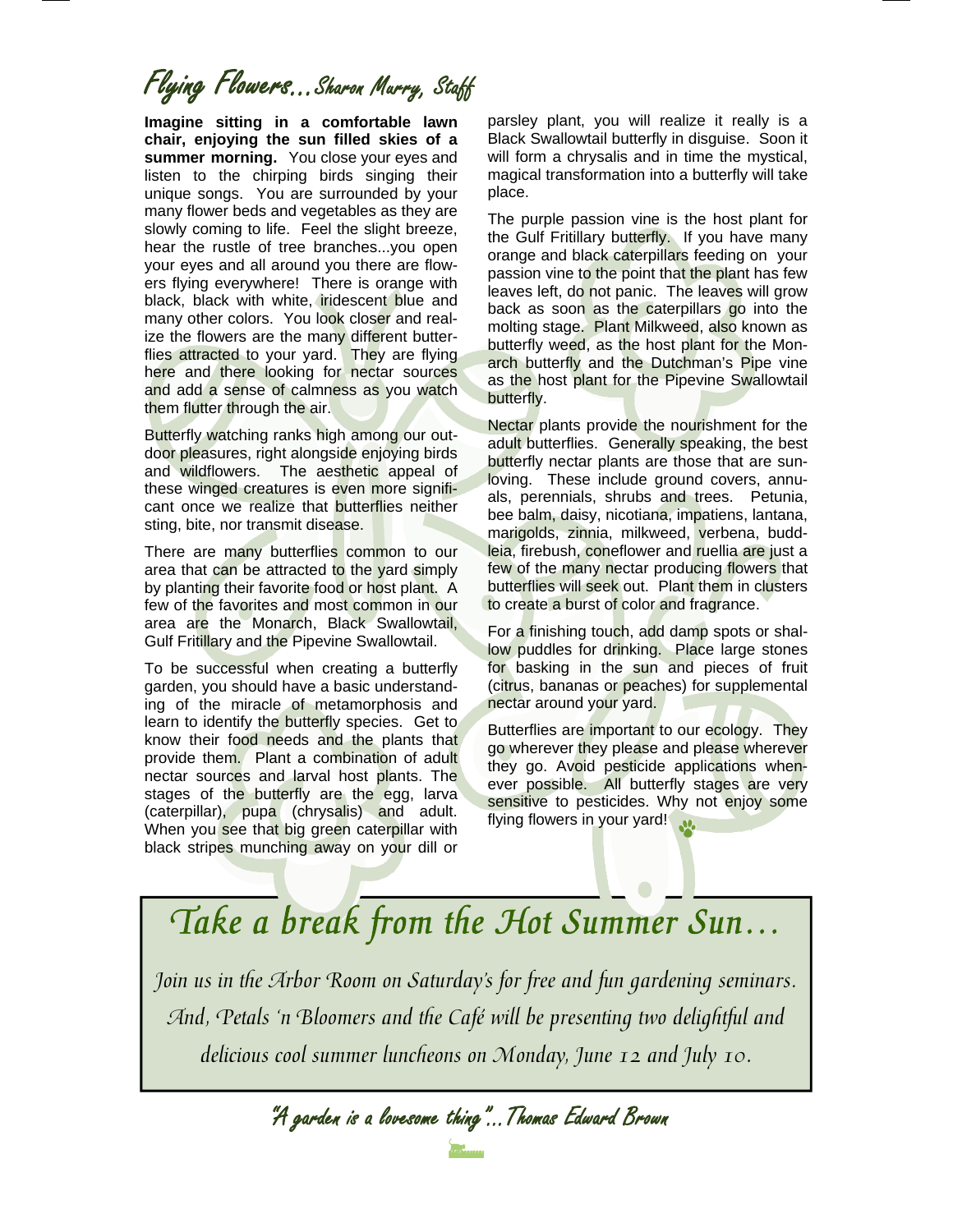# Flying Flowers…Sharon Murry, Staff

**Imagine sitting in a comfortable lawn chair, enjoying the sun filled skies of a summer morning.** You close your eyes and listen to the chirping birds singing their unique songs. You are surrounded by your many flower beds and vegetables as they are slowly coming to life. Feel the slight breeze, hear the rustle of tree branches...you open your eyes and all around you there are flowers flying everywhere! There is orange with black, black with white, iridescent blue and many other colors. You look closer and realize the flowers are the many different butterflies attracted to your yard. They are flying here and there looking for nectar sources and add a sense of calmness as you watch them flutter through the air.

Butterfly watching ranks high among our outdoor pleasures, right alongside enjoying birds and wildflowers. The aesthetic appeal of these winged creatures is even more significant once we realize that butterflies neither sting, bite, nor transmit disease.

There are many butterflies common to our area that can be attracted to the yard simply by planting their favorite food or host plant. A few of the favorites and most common in our area are the Monarch, Black Swallowtail, Gulf Fritillary and the Pipevine Swallowtail.

To be successful when creating a butterfly garden, you should have a basic understanding of the miracle of metamorphosis and learn to identify the butterfly species. Get to know their food needs and the plants that provide them. Plant a combination of adult nectar sources and larval host plants. The stages of the butterfly are the egg, larval (caterpillar), pupa (chrysalis) and adult. When you see that big green caterpillar with black stripes munching away on your dill or

parsley plant, you will realize it really is a Black Swallowtail butterfly in disguise. Soon it will form a chrysalis and in time the mystical, magical transformation into a butterfly will take place.

The purple passion vine is the host plant for the Gulf Fritillary butterfly. If you have many orange and black caterpillars feeding on your passion vine to the point that the plant has few leaves left, do not panic. The leaves will grow back as soon as the caterpillars go into the molting stage. Plant Milkweed, also known as butterfly weed, as the host plant for the Monarch butterfly and the Dutchman's Pipe vine as the host plant for the Pipevine Swallowtail butterfly.

Nectar plants provide the nourishment for the adult butterflies. Generally speaking, the best butterfly nectar plants are those that are sunloving. These include ground covers, annuals, perennials, shrubs and trees. Petunia, bee balm, daisy, nicotiana, impatiens, lantana, marigolds, zinnia, milkweed, verbena, buddleia, firebush, coneflower and ruellia are just a few of the many nectar producing flowers that butterflies will seek out. Plant them in clusters to create a burst of color and fragrance.

For a finishing touch, add damp spots or shallow puddles for drinking. Place large stones for basking in the sun and pieces of fruit (citrus, bananas or peaches) for supplemental nectar around your yard.

Butterflies are important to our ecology. They go wherever they please and please wherever they go. Avoid pesticide applications whenever possible. All butterfly stages are very sensitive to pesticides. Why not enjoy some flying flowers in your yard!

# Take a break from the Hot Summer Sun…

Join us in the Arbor Room on Saturday's for free and fun gardening seminars. And, Petals 'n Bloomers and the Café will be presenting two delightful and delicious cool summer luncheons on Monday, June 12 and July 10.

"A garden is a lovesome thing"...Thomas Edward Brown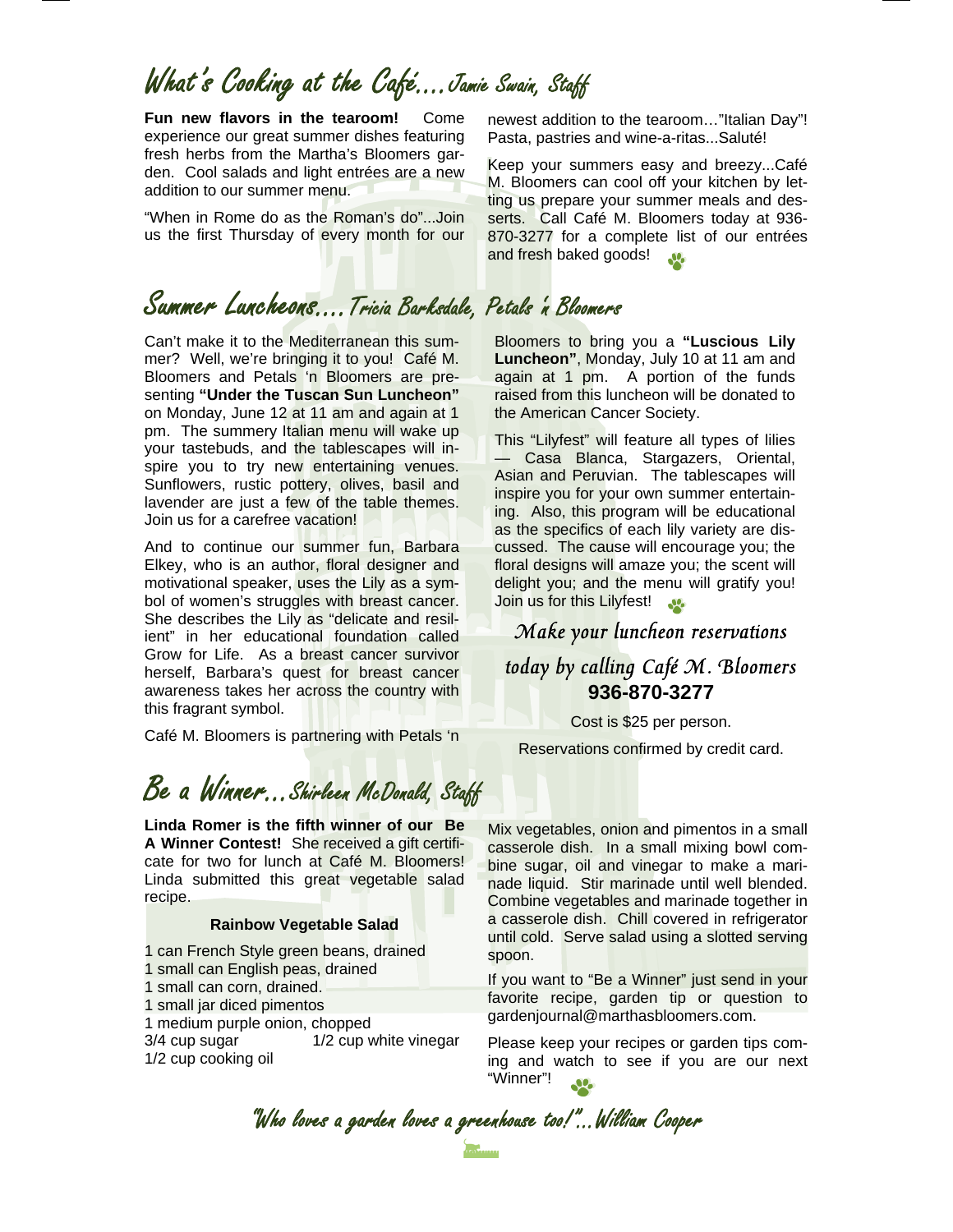### What's Cooking at the Café….Jamie Swain, Staff

**Fun new flavors in the tearoom!** Come experience our great summer dishes featuring fresh herbs from the Martha's Bloomers garden. Cool salads and light entrées are a new addition to our summer menu.

"When in Rome do as the Roman's do"...Join us the first Thursday of every month for our

#### Summer Luncheons….Tricia Barksdale, Petals 'n Bloomers

Can't make it to the Mediterranean this summer? Well, we're bringing it to you! Café M. Bloomers and Petals 'n Bloomers are presenting **"Under the Tuscan Sun Luncheon"**  on Monday, June 12 at 11 am and again at 1 pm. The summery Italian menu will wake up your tastebuds, and the tablescapes will inspire you to try new entertaining venues. Sunflowers, rustic pottery, olives, basil and lavender are just a few of the table themes. Join us for a carefree vacation!

And to continue our summer fun, Barbara Elkey, who is an author, floral designer and motivational speaker, uses the Lily as a symbol of women's struggles with breast cancer. She describes the Lily as "delicate and resilient" in her educational foundation called Grow for Life. As a breast cancer survivor herself, Barbara's quest for breast cancer awareness takes her across the country with this fragrant symbol.

Café M. Bloomers is partnering with Petals 'n

### Be a Winner...Shirleen McDonald, Staff

**Linda Romer is the fifth winner of our Be A Winner Contest!** She received a gift certificate for two for lunch at Café M. Bloomers! Linda submitted this great vegetable salad recipe.

#### **Rainbow Vegetable Salad**

1 can French Style green beans, drained 1 small can English peas, drained 1 small can corn, drained. 1 small jar diced pimentos 1 medium purple onion, chopped

3/4 cup sugar 1/2 cup white vinegar 1/2 cup cooking oil

newest addition to the tearoom…"Italian Day"! Pasta, pastries and wine-a-ritas...Saluté!

Keep your summers easy and breezy...Café M. Bloomers can cool off your kitchen by letting us prepare your summer meals and desserts. Call Café M. Bloomers today at 936- 870-3277 for a complete list of our entrées and fresh baked goods!  $\mathbf{M}$ 

Bloomers to bring you a **"Luscious Lily Luncheon"**, Monday, July 10 at 11 am and again at 1 pm. A portion of the funds raised from this luncheon will be donated to the American Cancer Society.

This "Lilyfest" will feature all types of lilies — Casa Blanca, Stargazers, Oriental, Asian and Peruvian. The tablescapes will inspire you for your own summer entertaining. Also, this program will be educational as the specifics of each lily variety are discussed. The cause will encourage you; the floral designs will amaze you; the scent will delight you; and the menu will gratify you! Join us for this Lilyfest!

#### Make your luncheon reservations today by calling Café M. Bloomers **936-870-3277**

Cost is \$25 per person.

Reservations confirmed by credit card.

Mix vegetables, onion and pimentos in a small casserole dish. In a small mixing bowl combine sugar, oil and vinegar to make a marinade liquid. Stir marinade until well blended. Combine vegetables and marinade together in a casserole dish. Chill covered in refrigerator until cold. Serve salad using a slotted serving spoon.

If you want to "Be a Winner" just send in your favorite recipe, garden tip or question to gardenjournal@marthasbloomers.com.

Please keep your recipes or garden tips coming and watch to see if you are our next "Winner"!

"Who loves a garden loves a greenhouse too!"...William Cooper